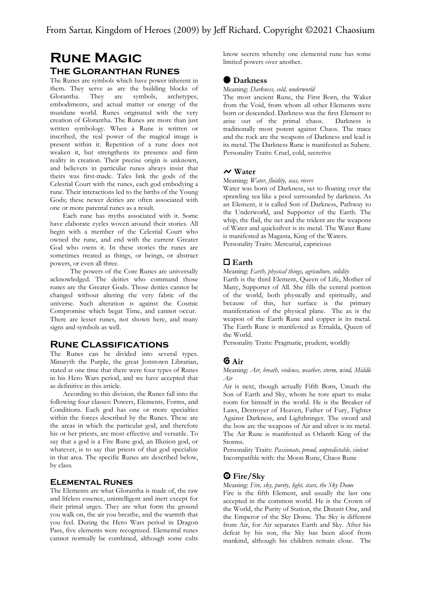# **Rune Magic The Gloranthan Runes**

The Runes are symbols which have power inherent in them. They serve as are the building blocks of Glorantha. They are symbols, archetypes, Glorantha. They are symbols, archetypes, embodiments, and actual matter or energy of the mundane world. Runes originated with the very creation of Glorantha. The Runes are more than just written symbology. When a Rune is written or inscribed, the real power of the magical image is present within it. Repetition of a rune does not weaken it, but strengthens its presence and firm reality in creation. Their precise origin is unknown, and believers in particular runes always insist that theirs was first-made. Tales link the gods of the Celestial Court with the runes, each god embodying a rune. Their interactions led to the births of the Young Gods; these newer deities are often associated with one or more parental runes as a result.

Each rune has myths associated with it. Some have elaborate cycles woven around their stories. All begin with a member of the Celestial Court who owned the rune, and end with the current Greater God who owns it. In these stories the runes are sometimes treated as things, or beings, or abstract powers, or even all three.

 The powers of the Core Runes are universally acknowledged. The deities who command those runes are the Greater Gods. Those deities cannot be changed without altering the very fabric of the universe. Such alteration is against the Cosmic Compromise which begat Time, and cannot occur. There are lesser runes, not shown here, and many signs and symbols as well.

# **Rune Classifications**

The Runes can be divided into several types. Minaryth the Purple, the great Jonstown Librarian, stated at one time that there were four types of Runes in his Hero Wars period, and we have accepted that as definitive in this article.

According to this division, the Runes fall into the following four classes: Powers, Elements, Forms, and Conditions. Each god has one or more specialties within the forces described by the Runes. These are the areas in which the particular god, and therefore his or her priests, are most effective and versatile. To say that a god is a Fire Rune god, an Illusion god, or whatever, is to say that priests of that god specialize in that area. The specific Runes are described below, by class.

# **Elemental Runes**

The Elements are what Glorantha is made of, the raw and lifeless essence, unintelligent and inert except for their primal urges. They are what form the ground you walk on, the air you breathe, and the warmth that you feel. During the Hero Wars period in Dragon Pass, five elements were recognized. Elemental runes cannot normally be combined, although some cults know secrets whereby one elemental rune has some limited powers over another.

# **O** Darkness

Meaning: Darkness, cold, underworld

The most ancient Rune, the First Born, the Waker from the Void, from whom all other Elements were born or descended. Darkness was the first Element to arise out of the primal chaos. Darkness is traditionally most potent against Chaos. The mace and the rock are the weapons of Darkness and lead is its metal. The Darkness Rune is manifested as Subere. Personality Traits: Cruel, cold, secretive

# $\sim$  Water

#### Meaning: Water, fluidity, seas, rivers

Water was born of Darkness, set to floating over the sprawling sea like a pool surrounded by darkness. As an Element, it is called Son of Darkness, Pathway to the Underworld, and Supporter of the Earth. The whip, the flail, the net and the trident are the weapons of Water and quicksilver is its metal. The Water Rune is manifested as Magasta, King of the Waters. Personality Traits: Mercurial, capricious

# d Earth

### Meaning: Earth, physical things, agriculture, solidity

Earth is the third Element, Queen of Life, Mother of Many, Supporter of All. She fills the central portion of the world, both physically and spiritually, and because of this, her surface is the primary manifestation of the physical plane. The ax is the weapon of the Earth Rune and copper is its metal. The Earth Rune is manifested as Ernalda, Queen of the World.

Personality Traits: Pragmatic, prudent, worldly

# g Air

Meaning: Air, breath, violence, weather, storm, wind, Middle Air

Air is next, though actually Fifth Born, Umath the Son of Earth and Sky, whom he tore apart to make room for himself in the world. He is the Breaker of Laws, Destroyer of Heaven, Father of Fury, Fighter Against Darkness, and Lightbringer. The sword and the bow are the weapons of Air and silver is its metal. The Air Rune is manifested as Orlanth King of the Storms.

Personality Traits: Passionate, proud, unpredictable, violent Incompatible with: the Moon Rune, Chaos Rune

# **O** Fire/Sky

Meaning: Fire, sky, purity, light, stars, the Sky Dome

Fire is the fifth Element, and usually the last one accepted in the common world. He is the Crown of the World, the Purity of Station, the Distant One, and the Emperor of the Sky Dome. The Sky is different from Air, for Air separates Earth and Sky. After his defeat by his son, the Sky has been aloof from mankind, although his children remain close. The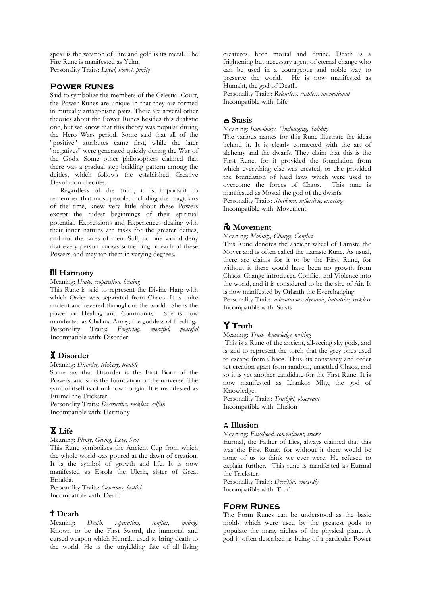spear is the weapon of Fire and gold is its metal. The Fire Rune is manifested as Yelm. Personality Traits: Loyal, honest, purity

### **Power Runes**

Said to symbolize the members of the Celestial Court, the Power Runes are unique in that they are formed in mutually antagonistic pairs. There are several other theories about the Power Runes besides this dualistic one, but we know that this theory was popular during the Hero Wars period. Some said that all of the "positive" attributes came first, while the later "negatives" were generated quickly during the War of the Gods. Some other philosophers claimed that there was a gradual step-building pattern among the deities, which follows the established Creative Devolution theories.

Regardless of the truth, it is important to remember that most people, including the magicians of the time, knew very little about these Powers except the rudest beginnings of their spiritual potential. Expressions and Experiences dealing with their inner natures are tasks for the greater deities, and not the races of men. Still, no one would deny that every person knows something of each of these Powers, and may tap them in varying degrees.

# **III** Harmony

Meaning: Unity, cooperation, healing

This Rune is said to represent the Divine Harp with which Order was separated from Chaos. It is quite ancient and revered throughout the world. She is the power of Healing and Community. She is now manifested as Chalana Arroy, the goddess of Healing.<br>Personality Traits: Forgiving, merciful, peaceful Personality Traits: Forgiving, merciful, peaceful Incompatible with: Disorder

# **I** Disorder

### Meaning: Disorder, trickery, trouble

Some say that Disorder is the First Born of the Powers, and so is the foundation of the universe. The symbol itself is of unknown origin. It is manifested as Eurmal the Trickster.

Personality Traits: Destructive, reckless, selfish Incompatible with: Harmony

# x Life

Meaning: Plenty, Giving, Love, Sex

This Rune symbolizes the Ancient Cup from which the whole world was poured at the dawn of creation. It is the symbol of growth and life. It is now manifested as Esrola the Uleria, sister of Great Ernalda.

Personality Traits: Generous, lustful Incompatible with: Death

# t Death

Meaning: Death, separation, conflict, endings Known to be the First Sword, the immortal and cursed weapon which Humakt used to bring death to the world. He is the unyielding fate of all living creatures, both mortal and divine. Death is a frightening but necessary agent of eternal change who can be used in a courageous and noble way to preserve the world. He is now manifested as Humakt, the god of Death.

Personality Traits: Relentless, ruthless, unemotional Incompatible with: Life

# c Stasis

Meaning: Immobility, Unchanging, Solidity

The various names for this Rune illustrate the ideas behind it. It is clearly connected with the art of alchemy and the dwarfs. They claim that this is the First Rune, for it provided the foundation from which everything else was created, or else provided the foundation of hard laws which were used to overcome the forces of Chaos. This rune is manifested as Mostal the god of the dwarfs.

Personality Traits: Stubborn, inflexible, exacting Incompatible with: Movement

# $\lambda$  Movement

Meaning: Mobility, Change, Conflict

This Rune denotes the ancient wheel of Larnste the Mover and is often called the Larnste Rune. As usual, there are claims for it to be the First Rune, for without it there would have been no growth from Chaos. Change introduced Conflict and Violence into the world, and it is considered to be the sire of Air. It is now manifested by Orlanth the Everchanging.

Personality Traits: adventurous, dynamic, impulsive, reckless Incompatible with: Stasis

# **Y** Truth

Meaning: Truth, knowledge, writing

 This is a Rune of the ancient, all-seeing sky gods, and is said to represent the torch that the grey ones used to escape from Chaos. Thus, its constancy and order set creation apart from random, unsettled Chaos, and so it is yet another candidate for the First Rune. It is now manifested as Lhankor Mhy, the god of Knowledge.

Personality Traits: Truthful, observant Incompatible with: Illusion

### : Illusion

Meaning: Falsehood, concealment, tricks

Eurmal, the Father of Lies, always claimed that this was the First Rune, for without it there would be none of us to think we ever were. He refused to explain further. This rune is manifested as Eurmal the Trickster.

Personality Traits: Deceitful, cowardly Incompatible with: Truth

### **Form Runes**

The Form Runes can be understood as the basic molds which were used by the greatest gods to populate the many niches of the physical plane. A god is often described as being of a particular Power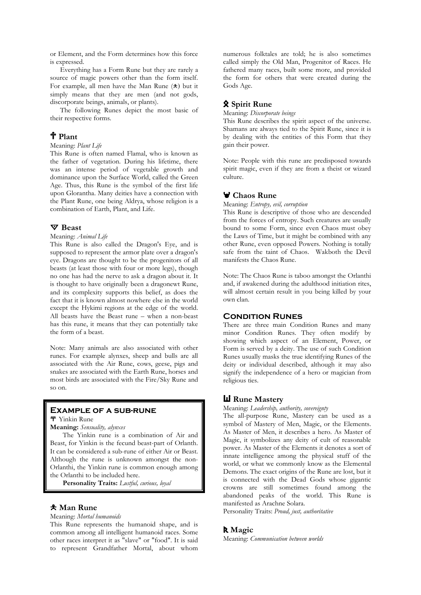or Element, and the Form determines how this force is expressed.

Everything has a Form Rune but they are rarely a source of magic powers other than the form itself. For example, all men have the Man Rune  $(*)$  but it simply means that they are men (and not gods, discorporate beings, animals, or plants).

The following Runes depict the most basic of their respective forms.

# 1 Plant

#### Meaning: Plant Life

This Rune is often named Flamal, who is known as the father of vegetation. During his lifetime, there was an intense period of vegetable growth and dominance upon the Surface World, called the Green Age. Thus, this Rune is the symbol of the first life upon Glorantha. Many deities have a connection with the Plant Rune, one being Aldrya, whose religion is a combination of Earth, Plant, and Life.

### $\nabla$  Beast

### Meaning: Animal Life

This Rune is also called the Dragon's Eye, and is supposed to represent the armor plate over a dragon's eye. Dragons are thought to be the progenitors of all beasts (at least those with four or more legs), though no one has had the nerve to ask a dragon about it. It is thought to have originally been a dragonewt Rune, and its complexity supports this belief, as does the fact that it is known almost nowhere else in the world except the Hykimi regions at the edge of the world. All beasts have the Beast rune – when a non-beast has this rune, it means that they can potentially take the form of a beast.

Note: Many animals are also associated with other runes. For example alynxes, sheep and bulls are all associated with the Air Rune, cows, geese, pigs and snakes are associated with the Earth Rune, horses and most birds are associated with the Fire/Sky Rune and so on.

# **Example of a sub-rune**

**T** Yinkin Rune

Meaning: Sensuality, alynxes

The Yinkin rune is a combination of Air and Beast, for Yinkin is the fecund beast-part of Orlanth. It can be considered a sub-rune of either Air or Beast. Although the rune is unknown amongst the non-Orlanthi, the Yinkin rune is common enough among the Orlanthi to be included here.

Personality Traits: Lustful, curious, loyal

### , Man Rune

Meaning: Mortal humanoids

This Rune represents the humanoid shape, and is common among all intelligent humanoid races. Some other races interpret it as "slave" or "food". It is said to represent Grandfather Mortal, about whom numerous folktales are told; he is also sometimes called simply the Old Man, Progenitor of Races. He fathered many races, built some more, and provided the form for others that were created during the Gods Age.

# **R** Spirit Rune

Meaning: Discorporate beings

This Rune describes the spirit aspect of the universe. Shamans are always tied to the Spirit Rune, since it is by dealing with the entities of this Form that they gain their power.

Note: People with this rune are predisposed towards spirit magic, even if they are from a theist or wizard culture.

# **V** Chaos Rune

Meaning: Entropy, evil, corruption

This Rune is descriptive of those who are descended from the forces of entropy. Such creatures are usually bound to some Form, since even Chaos must obey the Laws of Time, but it might be combined with any other Rune, even opposed Powers. Nothing is totally safe from the taint of Chaos. Wakboth the Devil manifests the Chaos Rune.

Note: The Chaos Rune is taboo amongst the Orlanthi and, if awakened during the adulthood initiation rites, will almost certain result in you being killed by your own clan.

### **Condition Runes**

There are three main Condition Runes and many minor Condition Runes. They often modify by showing which aspect of an Element, Power, or Form is served by a deity. The use of such Condition Runes usually masks the true identifying Runes of the deity or individual described, although it may also signify the independence of a hero or magician from religious ties.

# **W** Rune Mastery

Meaning: Leadership, authority, sovereignty

The all-purpose Rune, Mastery can be used as a symbol of Mastery of Men, Magic, or the Elements. As Master of Men, it describes a hero. As Master of Magic, it symbolizes any deity of cult of reasonable power. As Master of the Elements it denotes a sort of innate intelligence among the physical stuff of the world, or what we commonly know as the Elemental Demons. The exact origins of the Rune are lost, but it is connected with the Dead Gods whose gigantic crowns are still sometimes found among the abandoned peaks of the world. This Rune is manifested as Arachne Solara.

Personality Traits: Proud, just, authoritative

# R Magic

Meaning: Communication between worlds